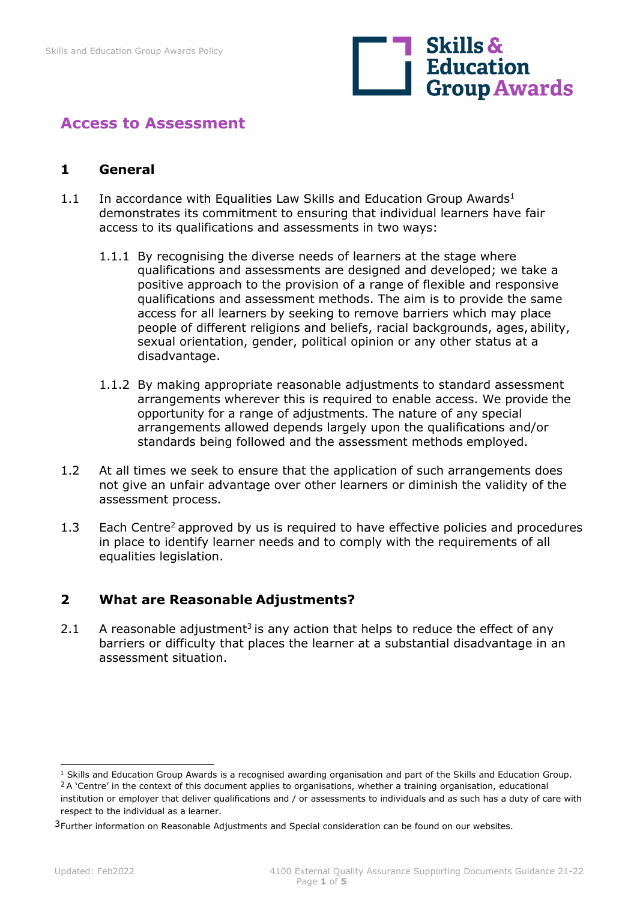

# **Access to Assessment**

#### **1 General**

- 1.1 In accordance with Equalities Law Skills and Education Group Awards<sup>1</sup> demonstrates its commitment to ensuring that individual learners have fair access to its qualifications and assessments in two ways:
	- 1.1.1 By recognising the diverse needs of learners at the stage where qualifications and assessments are designed and developed; we take a positive approach to the provision of a range of flexible and responsive qualifications and assessment methods. The aim is to provide the same access for all learners by seeking to remove barriers which may place people of different religions and beliefs, racial backgrounds, ages, ability, sexual orientation, gender, political opinion or any other status at a disadvantage.
	- 1.1.2 By making appropriate reasonable adjustments to standard assessment arrangements wherever this is required to enable access. We provide the opportunity for a range of adjustments. The nature of any special arrangements allowed depends largely upon the qualifications and/or standards being followed and the assessment methods employed.
- 1.2 At all times we seek to ensure that the application of such arrangements does not give an unfair advantage over other learners or diminish the validity of the assessment process.
- 1.3 Each Centre<sup>2</sup> approved by us is required to have effective policies and procedures in place to identify learner needs and to comply with the requirements of all equalities legislation.

## **2 What are Reasonable Adjustments?**

2.1 A reasonable adjustment<sup>3</sup> is any action that helps to reduce the effect of any barriers or difficulty that places the learner at a substantial disadvantage in an assessment situation.

 $1$  Skills and Education Group Awards is a recognised awarding organisation and part of the Skills and Education Group. <sup>2</sup> A 'Centre' in the context of this document applies to organisations, whether a training organisation, educational

institution or employer that deliver qualifications and / or assessments to individuals and as such has a duty of care with respect to the individual as a learner.

<sup>&</sup>lt;sup>3</sup>Further information on Reasonable Adjustments and Special consideration can be found on our websites.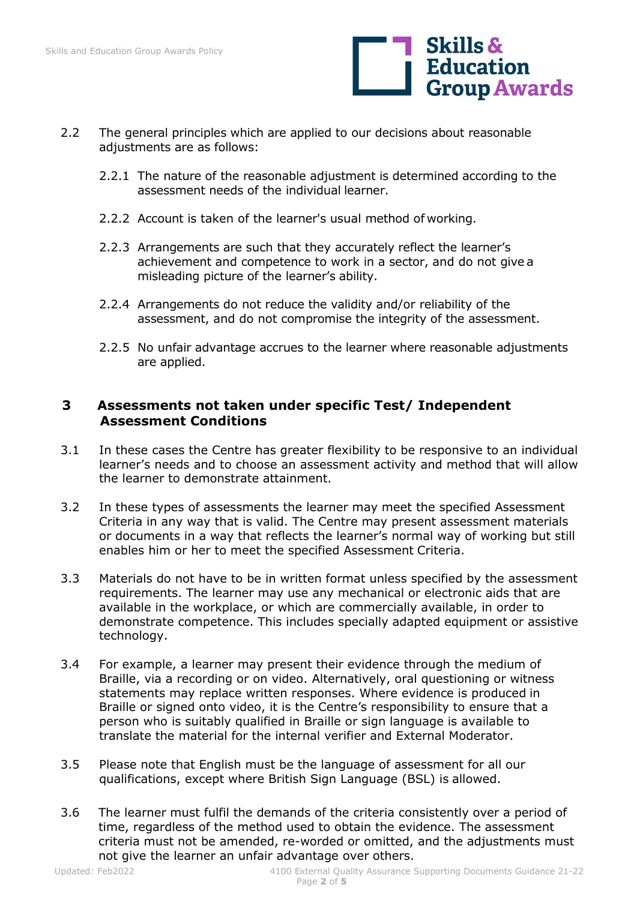

- 2.2 The general principles which are applied to our decisions about reasonable adjustments are as follows:
	- 2.2.1 The nature of the reasonable adjustment is determined according to the assessment needs of the individual learner.
	- 2.2.2 Account is taken of the learner's usual method of working.
	- 2.2.3 Arrangements are such that they accurately reflect the learner's achievement and competence to work in a sector, and do not give a misleading picture of the learner's ability.
	- 2.2.4 Arrangements do not reduce the validity and/or reliability of the assessment, and do not compromise the integrity of the assessment.
	- 2.2.5 No unfair advantage accrues to the learner where reasonable adjustments are applied.

### **3 Assessments not taken under specific Test/ Independent Assessment Conditions**

- 3.1 In these cases the Centre has greater flexibility to be responsive to an individual learner's needs and to choose an assessment activity and method that will allow the learner to demonstrate attainment.
- 3.2 In these types of assessments the learner may meet the specified Assessment Criteria in any way that is valid. The Centre may present assessment materials or documents in a way that reflects the learner's normal way of working but still enables him or her to meet the specified Assessment Criteria.
- 3.3 Materials do not have to be in written format unless specified by the assessment requirements. The learner may use any mechanical or electronic aids that are available in the workplace, or which are commercially available, in order to demonstrate competence. This includes specially adapted equipment or assistive technology.
- 3.4 For example, a learner may present their evidence through the medium of Braille, via a recording or on video. Alternatively, oral questioning or witness statements may replace written responses. Where evidence is produced in Braille or signed onto video, it is the Centre's responsibility to ensure that a person who is suitably qualified in Braille or sign language is available to translate the material for the internal verifier and External Moderator.
- 3.5 Please note that English must be the language of assessment for all our qualifications, except where British Sign Language (BSL) is allowed.
- 3.6 The learner must fulfil the demands of the criteria consistently over a period of time, regardless of the method used to obtain the evidence. The assessment criteria must not be amended, re-worded or omitted, and the adjustments must not give the learner an unfair advantage over others.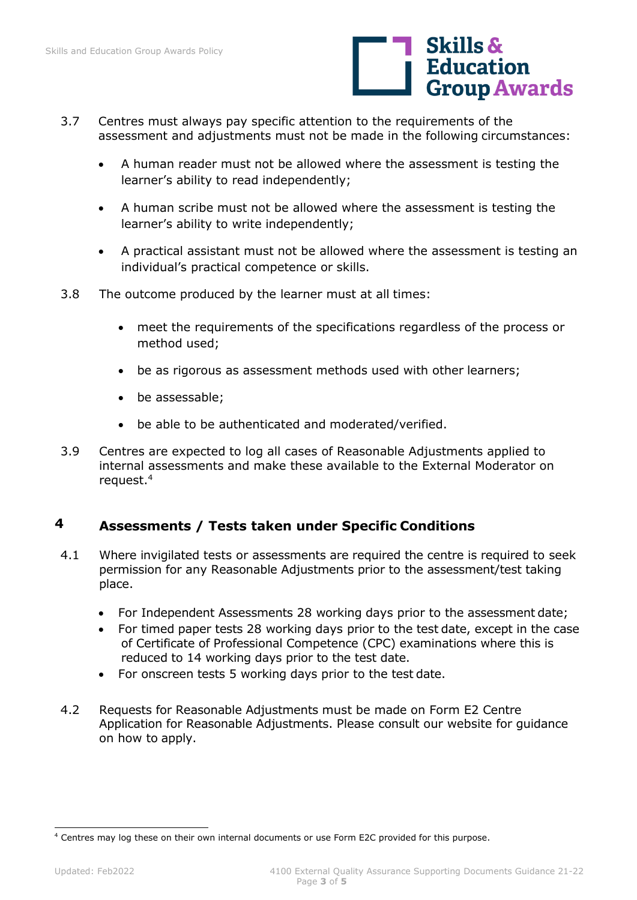

- 3.7 Centres must always pay specific attention to the requirements of the assessment and adjustments must not be made in the following circumstances:
	- A human reader must not be allowed where the assessment is testing the learner's ability to read independently;
	- A human scribe must not be allowed where the assessment is testing the learner's ability to write independently;
	- A practical assistant must not be allowed where the assessment is testing an individual's practical competence or skills.
- 3.8 The outcome produced by the learner must at all times:
	- meet the requirements of the specifications regardless of the process or method used;
	- be as rigorous as assessment methods used with other learners;
	- be assessable;
	- be able to be authenticated and moderated/verified.
- 3.9 Centres are expected to log all cases of Reasonable Adjustments applied to internal assessments and make these available to the External Moderator on request.4

## **4 Assessments / Tests taken under Specific Conditions**

- 4.1 Where invigilated tests or assessments are required the centre is required to seek permission for any Reasonable Adjustments prior to the assessment/test taking place.
	- For Independent Assessments 28 working days prior to the assessment date;
	- For timed paper tests 28 working days prior to the test date, except in the case of Certificate of Professional Competence (CPC) examinations where this is reduced to 14 working days prior to the test date.
	- For onscreen tests 5 working days prior to the test date.
- 4.2 Requests for Reasonable Adjustments must be made on Form E2 Centre Application for Reasonable Adjustments. Please consult our website for guidance on how to apply.

<sup>4</sup> Centres may log these on their own internal documents or use Form E2C provided for this purpose.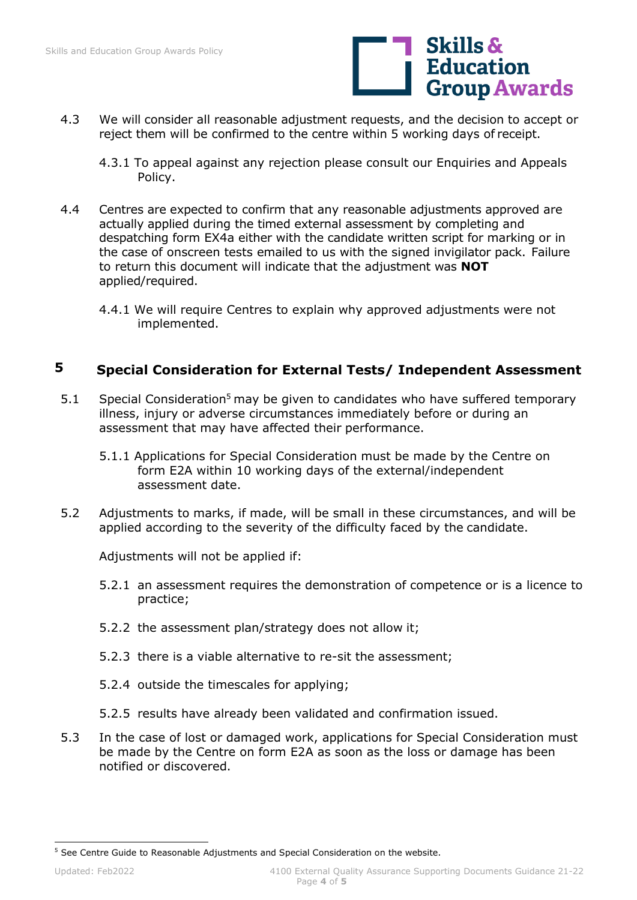

- 4.3 We will consider all reasonable adjustment requests, and the decision to accept or reject them will be confirmed to the centre within 5 working days of receipt.
	- 4.3.1 To appeal against any rejection please consult our Enquiries and Appeals Policy.
- 4.4 Centres are expected to confirm that any reasonable adjustments approved are actually applied during the timed external assessment by completing and despatching form EX4a either with the candidate written script for marking or in the case of onscreen tests emailed to us with the signed invigilator pack. Failure to return this document will indicate that the adjustment was **NOT**  applied/required.
	- 4.4.1 We will require Centres to explain why approved adjustments were not implemented.

### **5 Special Consideration for External Tests/ Independent Assessment**

- 5.1 Special Consideration<sup>5</sup> may be given to candidates who have suffered temporary illness, injury or adverse circumstances immediately before or during an assessment that may have affected their performance.
	- 5.1.1 Applications for Special Consideration must be made by the Centre on form E2A within 10 working days of the external/independent assessment date.
- 5.2 Adjustments to marks, if made, will be small in these circumstances, and will be applied according to the severity of the difficulty faced by the candidate.

Adjustments will not be applied if:

- 5.2.1 an assessment requires the demonstration of competence or is a licence to practice;
- 5.2.2 the assessment plan/strategy does not allow it;
- 5.2.3 there is a viable alternative to re-sit the assessment;
- 5.2.4 outside the timescales for applying;
- 5.2.5 results have already been validated and confirmation issued.
- 5.3 In the case of lost or damaged work, applications for Special Consideration must be made by the Centre on form E2A as soon as the loss or damage has been notified or discovered.

<sup>5</sup> See Centre Guide to Reasonable Adjustments and Special Consideration on the website.